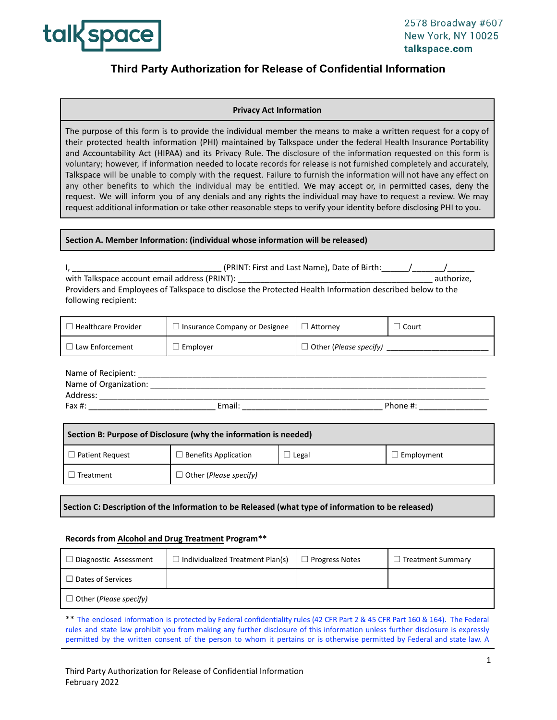

## **Third Party Authorization for Release of Confidential Information**

#### **Privacy Act Information**

The purpose of this form is to provide the individual member the means to make a written request for a copy of their protected health information (PHI) maintained by Talkspace under the federal Health Insurance Portability and Accountability Act (HIPAA) and its Privacy Rule. The disclosure of the information requested on this form is voluntary; however, if information needed to locate records for release is not furnished completely and accurately, Talkspace will be unable to comply with the request. Failure to furnish the information will not have any effect on any other benefits to which the individual may be entitled. We may accept or, in permitted cases, deny the request. We will inform you of any denials and any rights the individual may have to request a review. We may request additional information or take other reasonable steps to verify your identity before disclosing PHI to you.

#### **Section A. Member Information: (individual whose information will be released)**

I, \_\_\_\_\_\_\_\_\_\_\_\_\_\_\_\_\_\_\_\_\_\_\_\_\_\_\_\_\_\_\_\_\_ (PRINT: First and Last Name), Date of Birth:\_\_\_\_\_\_/\_\_\_\_\_\_\_/\_\_\_\_\_\_ with Talkspace account email address (PRINT): \_\_\_\_\_\_\_\_\_\_\_\_\_\_\_\_\_\_\_\_\_\_\_\_\_\_\_\_\_\_\_\_\_\_\_\_\_\_\_\_\_\_\_ authorize, Providers and Employees of Talkspace to disclose the Protected Health Information described below to the following recipient:

| Healthcare Provider | □ Insurance Company or Designee | $\Box$ Attorney               | Court |
|---------------------|---------------------------------|-------------------------------|-------|
| Law Enforcement     | : Emplover                      | $\Box$ Other (Please specify) |       |

Name of Recipient: \_\_\_\_\_\_\_\_\_\_\_\_\_\_\_\_\_\_\_\_\_\_\_\_\_\_\_\_\_\_\_\_\_\_\_\_\_\_\_\_\_\_\_\_\_\_\_\_\_\_\_\_\_\_\_\_\_\_\_\_\_\_\_\_\_\_\_\_\_\_\_\_\_\_\_\_\_ Name of Organization: \_\_\_\_\_\_\_\_\_\_\_\_\_\_\_\_\_\_\_\_\_\_\_\_\_\_\_\_\_\_\_\_\_\_\_\_\_\_\_\_\_\_\_\_\_\_\_\_\_\_\_\_\_\_\_\_\_\_\_\_\_\_\_\_\_\_\_\_\_\_\_\_\_\_ Address: \_\_\_\_\_\_\_\_\_\_\_\_\_\_\_\_\_\_\_\_\_\_\_\_\_\_\_\_\_\_\_\_\_\_\_\_\_\_\_\_\_\_\_\_\_\_\_\_\_\_\_\_\_\_\_\_\_\_\_\_\_\_\_\_\_\_\_\_\_\_\_\_\_\_\_\_\_\_\_\_\_\_\_\_\_\_ Fax #: \_\_\_\_\_\_\_\_\_\_\_\_\_\_\_\_\_\_\_\_\_\_\_\_\_\_\_\_ Email: \_\_\_\_\_\_\_\_\_\_\_\_\_\_\_\_\_\_\_\_\_\_\_\_\_\_\_\_\_\_\_ Phone #: \_\_\_\_\_\_\_\_\_\_\_\_\_\_\_

| Section B: Purpose of Disclosure (why the information is needed) |                               |       |            |
|------------------------------------------------------------------|-------------------------------|-------|------------|
| <b>Patient Request</b>                                           | <b>Benefits Application</b>   | Legal | Employment |
| Treatment                                                        | $\Box$ Other (Please specify) |       |            |

#### **Section C: Description of the Information to be Released (what type of information to be released)**

#### **Records from Alcohol and Drug Treatment Program\*\***

| $\Box$ Diagnostic Assessment  | Individualized Treatment Plan(s) | $\Box$ Progress Notes | $\Box$ Treatment Summary |
|-------------------------------|----------------------------------|-----------------------|--------------------------|
| Dates of Services             |                                  |                       |                          |
| $\Box$ Other (Please specify) |                                  |                       |                          |

\*\* The enclosed information is protected by Federal confidentiality rules (42 CFR Part 2 & 45 CFR Part 160 & 164). The Federal rules and state law prohibit you from making any further disclosure of this information unless further disclosure is expressly permitted by the written consent of the person to whom it pertains or is otherwise permitted by Federal and state law. A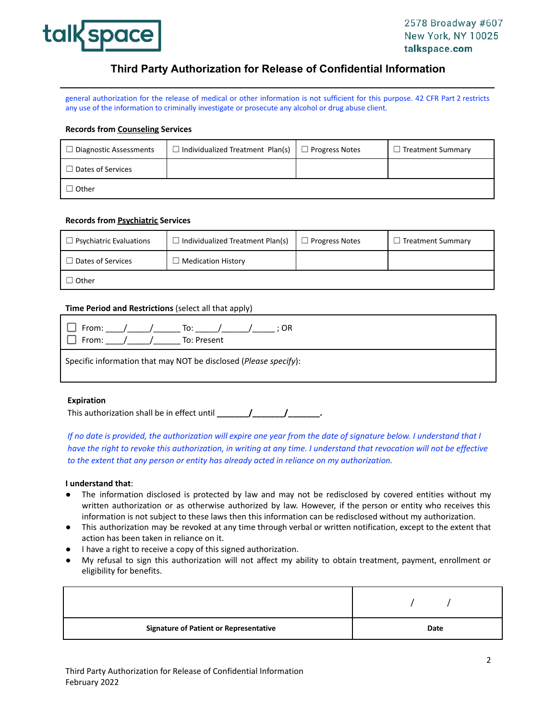

## **Third Party Authorization for Release of Confidential Information**

general authorization for the release of medical or other information is not sufficient for this purpose. 42 CFR Part 2 restricts any use of the information to criminally investigate or prosecute any alcohol or drug abuse client.

#### **Records from Counseling Services**

| $\Box$ Diagnostic Assessments | Individualized Treatment Plan(s) $\Box$ Progress Notes | Treatment Summary |
|-------------------------------|--------------------------------------------------------|-------------------|
| $\Box$ Dates of Services      |                                                        |                   |
| Other                         |                                                        |                   |

#### **Records from Psychiatric Services**

| Psychiatric Evaluations | $\Box$ Individualized Treatment Plan(s) | $\Box$ Progress Notes | $\Box$ Treatment Summary |
|-------------------------|-----------------------------------------|-----------------------|--------------------------|
| Dates of Services       | Medication History                      |                       |                          |
| Other                   |                                         |                       |                          |

#### **Time Period and Restrictions** (select all that apply)

| ,From: _____/_______/________ To: ______<br>: OR<br>From: /<br>To: Present |  |  |
|----------------------------------------------------------------------------|--|--|
| Specific information that may NOT be disclosed ( <i>Please specify</i> ):  |  |  |

#### **Expiration**

This authorization shall be in effect until **\_\_\_\_\_\_\_/\_\_\_\_\_\_\_/\_\_\_\_\_\_\_.**

If no date is provided, the authorization will expire one year from the date of signature below. I understand that I have the right to revoke this authorization, in writing at any time. I understand that revocation will not be effective *to the extent that any person or entity has already acted in reliance on my authorization.*

#### **I understand that**:

- The information disclosed is protected by law and may not be redisclosed by covered entities without my written authorization or as otherwise authorized by law. However, if the person or entity who receives this information is not subject to these laws then this information can be redisclosed without my authorization.
- This authorization may be revoked at any time through verbal or written notification, except to the extent that action has been taken in reliance on it.
- I have a right to receive a copy of this signed authorization.
- My refusal to sign this authorization will not affect my ability to obtain treatment, payment, enrollment or eligibility for benefits.

| <b>Signature of Patient or Representative</b> | Date |
|-----------------------------------------------|------|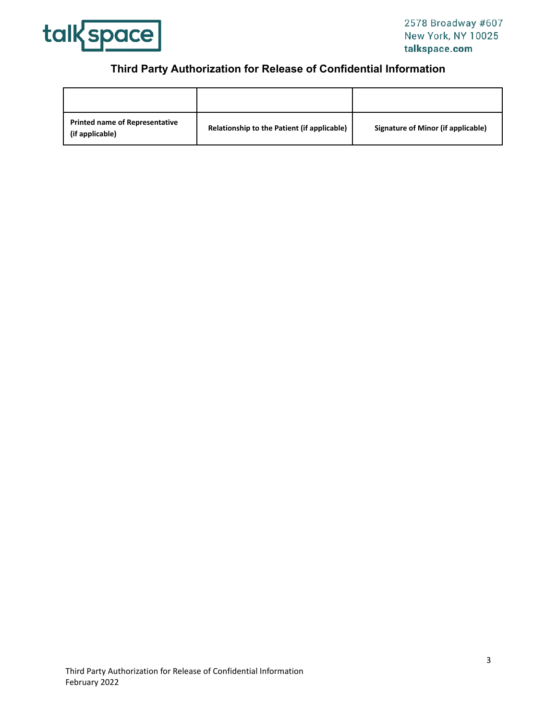

# **Third Party Authorization for Release of Confidential Information**

| <b>Printed name of Representative</b><br>(if applicable) | Relationship to the Patient (if applicable) | Signature of Minor (if applicable) |
|----------------------------------------------------------|---------------------------------------------|------------------------------------|